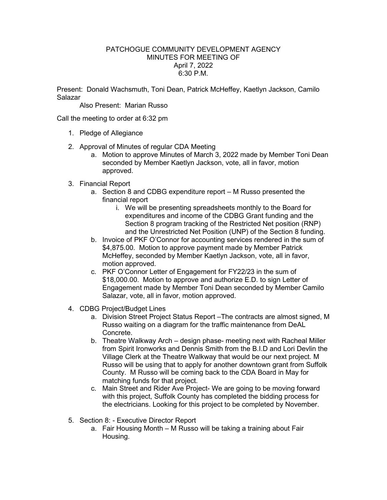## PATCHOGUE COMMUNITY DEVELOPMENT AGENCY MINUTES FOR MEETING OF April 7, 2022 6:30 P.M.

Present: Donald Wachsmuth, Toni Dean, Patrick McHeffey, Kaetlyn Jackson, Camilo Salazar

Also Present: Marian Russo

Call the meeting to order at 6:32 pm

- 1. Pledge of Allegiance
- 2. Approval of Minutes of regular CDA Meeting
	- a. Motion to approve Minutes of March 3, 2022 made by Member Toni Dean seconded by Member Kaetlyn Jackson, vote, all in favor, motion approved.
- 3. Financial Report
	- a. Section 8 and CDBG expenditure report M Russo presented the financial report
		- i. We will be presenting spreadsheets monthly to the Board for expenditures and income of the CDBG Grant funding and the Section 8 program tracking of the Restricted Net position (RNP) and the Unrestricted Net Position (UNP) of the Section 8 funding.
	- b. Invoice of PKF O'Connor for accounting services rendered in the sum of \$4,875.00. Motion to approve payment made by Member Patrick McHeffey, seconded by Member Kaetlyn Jackson, vote, all in favor, motion approved.
	- c. PKF O'Connor Letter of Engagement for FY22/23 in the sum of \$18,000.00. Motion to approve and authorize E.D. to sign Letter of Engagement made by Member Toni Dean seconded by Member Camilo Salazar, vote, all in favor, motion approved.
- 4. CDBG Project/Budget Lines
	- a. Division Street Project Status Report –The contracts are almost signed, M Russo waiting on a diagram for the traffic maintenance from DeAL Concrete.
	- b. Theatre Walkway Arch design phase- meeting next with Racheal Miller from Spirit Ironworks and Dennis Smith from the B.I.D and Lori Devlin the Village Clerk at the Theatre Walkway that would be our next project. M Russo will be using that to apply for another downtown grant from Suffolk County. M Russo will be coming back to the CDA Board in May for matching funds for that project.
	- c. Main Street and Rider Ave Project- We are going to be moving forward with this project, Suffolk County has completed the bidding process for the electricians. Looking for this project to be completed by November.
- 5. Section 8: Executive Director Report
	- a. Fair Housing Month M Russo will be taking a training about Fair Housing.